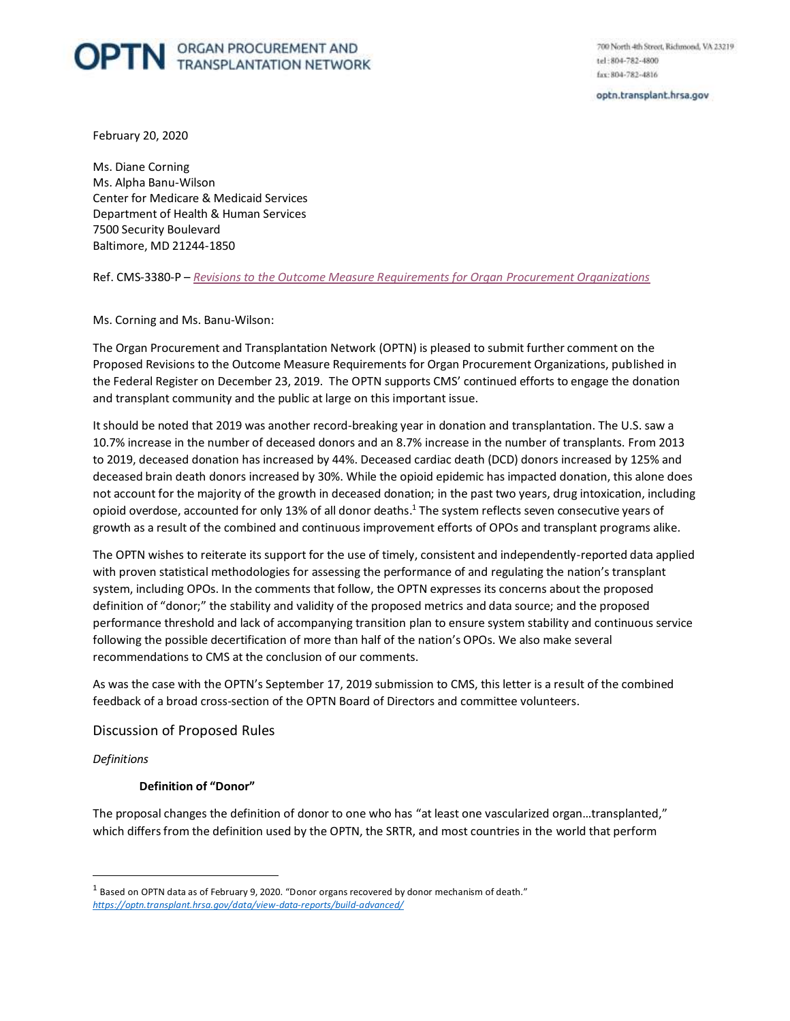# **OPTN ORGAN PROCUREMENT AND**

700 North 4th Street, Richmond, VA 23219 tel:804-782-4800 fax: 804-782-4816

optn.transplant.hrsa.gov

February 20, 2020

 Center for Medicare & Medicaid Services Department of Health & Human Services 7500 Security Boulevard Ms. Diane Corning Ms. Alpha Banu-Wilson Baltimore, MD 21244-1850

 Ref. CMS-3380-P – *[Revisions to the Outcome Measure Requirements for Organ Procurement Organizations](https://www.federalregister.gov/documents/2019/12/23/2019-27418/medicare-and-medicaid-programs-organ-procurement-organizations-conditions-for-coverage-revisions-to)* 

Ms. Corning and Ms. Banu-Wilson:

 The Organ Procurement and Transplantation Network (OPTN) is pleased to submit further comment on the Proposed Revisions to the Outcome Measure Requirements for Organ Procurement Organizations, published in the Federal Register on December 23, 2019. The OPTN supports CMS' continued efforts to engage the donation and transplant community and the public at large on this important issue.

 It should be noted that 2019 was another record-breaking year in donation and transplantation. The U.S. saw a 10.7% increase in the number of deceased donors and an 8.7% increase in the number of transplants. From 2013 to 2019, deceased donation has increased by 44%. Deceased cardiac death (DCD) donors increased by 125% and deceased brain death donors increased by 30%. While the opioid epidemic has impacted donation, this alone does not account for the majority of the growth in deceased donation; in the past two years, drug intoxication, including opioid overdose, accounted for only 13% of all donor deaths.<sup>1</sup> The system reflects seven consecutive years of growth as a result of the combined and continuous improvement efforts of OPOs and transplant programs alike.

 The OPTN wishes to reiterate its support for the use of timely, consistent and independently-reported data applied with proven statistical methodologies for assessing the performance of and regulating the nation's transplant definition of "donor;" the stability and validity of the proposed metrics and data source; and the proposed performance threshold and lack of accompanying transition plan to ensure system stability and continuous service following the possible decertification of more than half of the nation's OPOs. We also make several recommendations to CMS at the conclusion of our comments. system, including OPOs. In the comments that follow, the OPTN expresses its concerns about the proposed

 As was the case with the OPTN's September 17, 2019 submission to CMS, this letter is a result of the combined feedback of a broad cross-section of the OPTN Board of Directors and committee volunteers.

Discussion of Proposed Rules

*Definitions* 

 $\overline{a}$ 

#### **Definition of "Donor"**

 The proposal changes the definition of donor to one who has "at least one vascularized organ…transplanted," which differs from the definition used by the OPTN, the SRTR, and most countries in the world that perform

 $^{\rm 1}$  Based on OPTN data as of February 9, 2020. "Donor organs recovered by donor mechanism of death." *<https://optn.transplant.hrsa.gov/data/view-data-reports/build-advanced/>*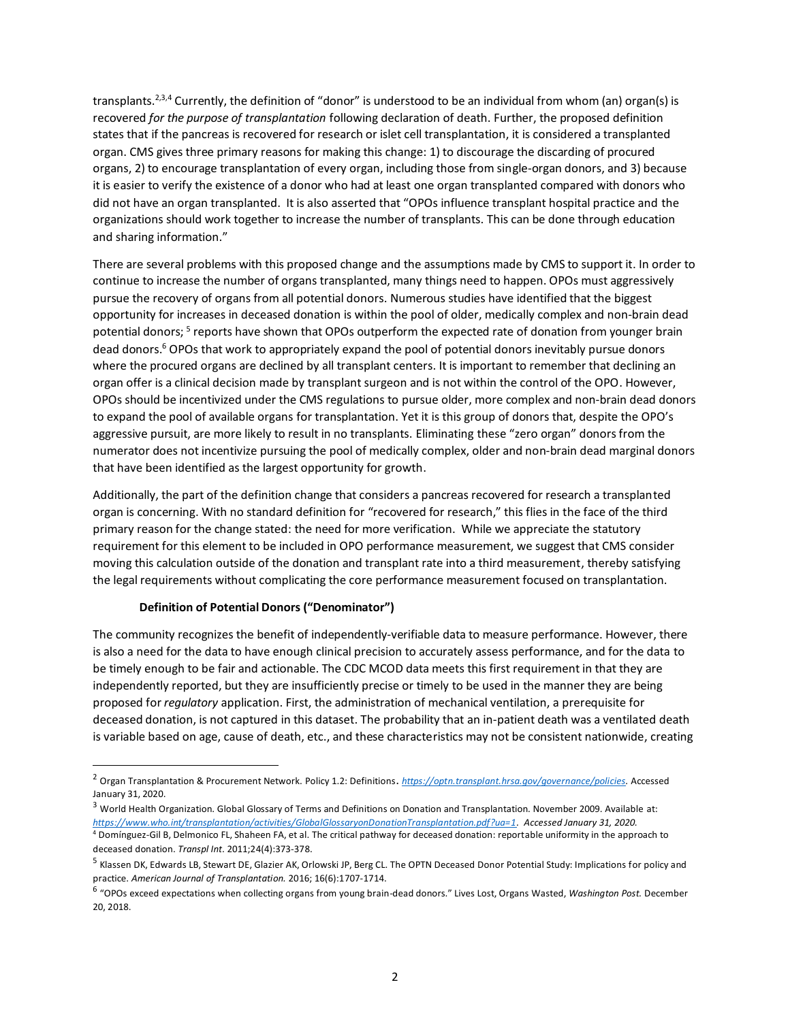transplants.<sup>2,3,4</sup> Currently, the definition of "donor" is understood to be an individual from whom (an) organ(s) is  recovered *for the purpose of transplantation* following declaration of death. Further, the proposed definition states that if the pancreas is recovered for research or islet cell transplantation, it is considered a transplanted organ. CMS gives three primary reasons for making this change: 1) to discourage the discarding of procured organs, 2) to encourage transplantation of every organ, including those from single-organ donors, and 3) because it is easier to verify the existence of a donor who had at least one organ transplanted compared with donors who did not have an organ transplanted. It is also asserted that "OPOs influence transplant hospital practice and the organizations should work together to increase the number of transplants. This can be done through education and sharing information."

 There are several problems with this proposed change and the assumptions made by CMS to support it. In order to continue to increase the number of organs transplanted, many things need to happen. OPOs must aggressively pursue the recovery of organs from all potential donors. Numerous studies have identified that the biggest opportunity for increases in deceased donation is within the pool of older, medically complex and non-brain dead potential donors; <sup>5</sup> reports have shown that OPOs outperform the expected rate of donation from younger brain dead donors.<sup>6</sup> OPOs that work to appropriately expand the pool of potential donors inevitably pursue donors where the procured organs are declined by all transplant centers. It is important to remember that declining an organ offer is a clinical decision made by transplant surgeon and is not within the control of the OPO. However, OPOs should be incentivized under the CMS regulations to pursue older, more complex and non-brain dead donors to expand the pool of available organs for transplantation. Yet it is this group of donors that, despite the OPO's aggressive pursuit, are more likely to result in no transplants. Eliminating these "zero organ" donors from the numerator does not incentivize pursuing the pool of medically complex, older and non-brain dead marginal donors that have been identified as the largest opportunity for growth.

 Additionally, the part of the definition change that considers a pancreas recovered for research a transplanted organ is concerning. With no standard definition for "recovered for research," this flies in the face of the third primary reason for the change stated: the need for more verification. While we appreciate the statutory requirement for this element to be included in OPO performance measurement, we suggest that CMS consider moving this calculation outside of the donation and transplant rate into a third measurement, thereby satisfying the legal requirements without complicating the core performance measurement focused on transplantation.

# **Definition of Potential Donors ("Denominator")**

 $\overline{a}$ 

 The community recognizes the benefit of independently-verifiable data to measure performance. However, there is also a need for the data to have enough clinical precision to accurately assess performance, and for the data to be timely enough to be fair and actionable. The CDC MCOD data meets this first requirement in that they are independently reported, but they are insufficiently precise or timely to be used in the manner they are being proposed for *regulatory* application. First, the administration of mechanical ventilation, a prerequisite for deceased donation, is not captured in this dataset. The probability that an in-patient death was a ventilated death is variable based on age, cause of death, etc., and these characteristics may not be consistent nationwide, creating

<sup>2</sup> Organ Transplantation & Procurement Network. Policy 1.2: Definitions. *[https://optn.transplant.hrsa.gov/governance/policies.](https://optn.transplant.hrsa.gov/governance/policies)* Accessed January 31, 2020.

<sup>&</sup>lt;sup>3</sup> World Health Organization. Global Glossary of Terms and Definitions on Donation and Transplantation. November 2009. Available at: *[https://www.who.int/transplantation/activities/GlobalGlossaryonDonationTransplantation.pdf?ua=1.](https://www.who.int/transplantation/activities/GlobalGlossaryonDonationTransplantation.pdf?ua=1) Accessed January 31, 2020.* 

<sup>4</sup> Domínguez-Gil B, Delmonico FL, Shaheen FA, et al. The critical pathway for deceased donation: reportable uniformity in the approach to deceased donation. *Transpl Int*. 2011;24(4):373-378.

<sup>&</sup>lt;sup>5</sup> Klassen DK, Edwards LB, Stewart DE, Glazier AK, Orlowski JP, Berg CL. The OPTN Deceased Donor Potential Study: Implications for policy and practice. *American Journal of Transplantation.* 2016; 16(6):1707-1714.

<sup>6</sup>"OPOs exceed expectations when collecting organs from young brain-dead donors." Lives Lost, Organs Wasted, *Washington Post.* December 20, 2018.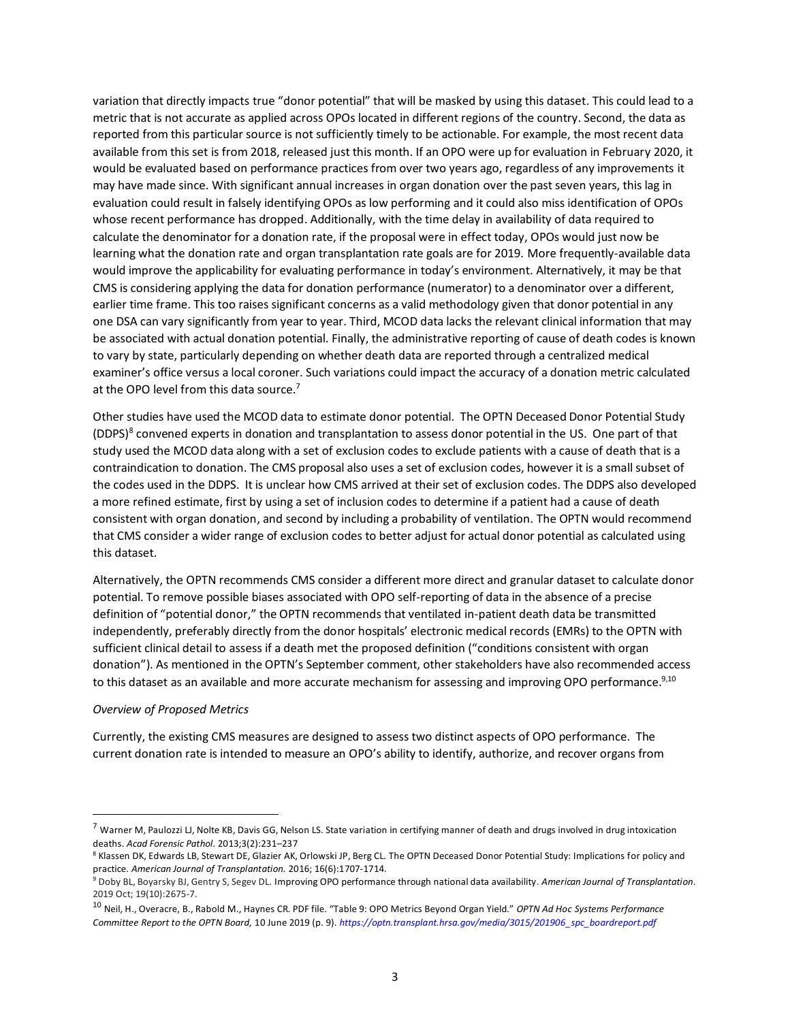variation that directly impacts true "donor potential" that will be masked by using this dataset. This could lead to a metric that is not accurate as applied across OPOs located in different regions of the country. Second, the data as reported from this particular source is not sufficiently timely to be actionable. For example, the most recent data available from this set is from 2018, released just this month. If an OPO were up for evaluation in February 2020, it would be evaluated based on performance practices from over two years ago, regardless of any improvements it may have made since. With significant annual increases in organ donation over the past seven years, this lag in evaluation could result in falsely identifying OPOs as low performing and it could also miss identification of OPOs whose recent performance has dropped. Additionally, with the time delay in availability of data required to calculate the denominator for a donation rate, if the proposal were in effect today, OPOs would just now be learning what the donation rate and organ transplantation rate goals are for 2019. More frequently-available data would improve the applicability for evaluating performance in today's environment. Alternatively, it may be that CMS is considering applying the data for donation performance (numerator) to a denominator over a different, earlier time frame. This too raises significant concerns as a valid methodology given that donor potential in any one DSA can vary significantly from year to year. Third, MCOD data lacks the relevant clinical information that may be associated with actual donation potential. Finally, the administrative reporting of cause of death codes is known to vary by state, particularly depending on whether death data are reported through a centralized medical examiner's office versus a local coroner. Such variations could impact the accuracy of a donation metric calculated at the OPO level from this data source.<sup>7</sup>

 Other studies have used the MCOD data to estimate donor potential. The OPTN Deceased Donor Potential Study (DDPS)<sup>8</sup> convened experts in donation and transplantation to assess donor potential in the US. One part of that study used the MCOD data along with a set of exclusion codes to exclude patients with a cause of death that is a contraindication to donation. The CMS proposal also uses a set of exclusion codes, however it is a small subset of the codes used in the DDPS. It is unclear how CMS arrived at their set of exclusion codes. The DDPS also developed a more refined estimate, first by using a set of inclusion codes to determine if a patient had a cause of death consistent with organ donation, and second by including a probability of ventilation. The OPTN would recommend that CMS consider a wider range of exclusion codes to better adjust for actual donor potential as calculated using this dataset.

 Alternatively, the OPTN recommends CMS consider a different more direct and granular dataset to calculate donor potential. To remove possible biases associated with OPO self-reporting of data in the absence of a precise definition of "potential donor," the OPTN recommends that ventilated in-patient death data be transmitted independently, preferably directly from the donor hospitals' electronic medical records (EMRs) to the OPTN with sufficient clinical detail to assess if a death met the proposed definition ("conditions consistent with organ donation"). As mentioned in the OPTN's September comment, other stakeholders have also recommended access to this dataset as an available and more accurate mechanism for assessing and improving OPO performance.<sup>9,10</sup>

#### *Overview of Proposed Metrics*

 $\overline{\phantom{a}}$ 

 Currently, the existing CMS measures are designed to assess two distinct aspects of OPO performance. The current donation rate is intended to measure an OPO's ability to identify, authorize, and recover organs from

 $^7$  Warner M, Paulozzi LJ, Nolte KB, Davis GG, Nelson LS. State variation in certifying manner of death and drugs involved in drug intoxication deaths. Acad Forensic Pathol. 2013;3(2):231–237<br><sup>8</sup> Klassen DK, Edwards LB, Stewart DE, Glazier AK, Orlowski JP, Berg CL. The OPTN Deceased Donor Potential Study: Implications for policy and

practice. American Journal of Transplantation. 2016; 16(6):1707-1714.<br><sup>9</sup> Doby BL, Boyarsky BJ, Gentry S, Segev DL. Improving OPO performance through national data availability. American Journal of Transplantation.

<sup>2019</sup> Oct; 19(10):2675-7.

<sup>&</sup>lt;sup>10</sup> Neil, H., Overacre, B., Rabold M., Haynes CR. PDF file. "Table 9: OPO Metrics Beyond Organ Yield." *OPTN Ad Hoc Systems Performance Committee Report to the OPTN Board,* 10 June 2019 (p. 9). *[https://optn.transplant.hrsa.gov/media/3015/201906\\_spc\\_boardreport.pdf](https://optn.transplant.hrsa.gov/media/3015/201906_spc_boardreport.pdf)*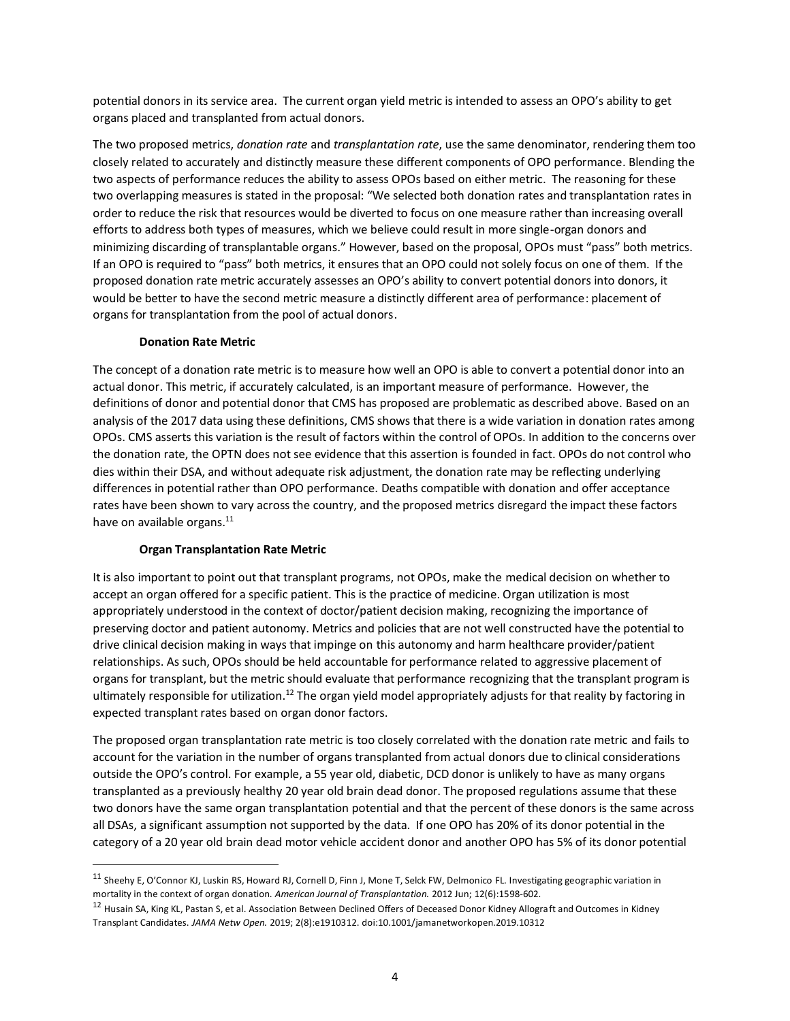potential donors in its service area. The current organ yield metric is intended to assess an OPO's ability to get organs placed and transplanted from actual donors.

 The two proposed metrics, *donation rate* and *transplantation rate*, use the same denominator, rendering them too closely related to accurately and distinctly measure these different components of OPO performance. Blending the two aspects of performance reduces the ability to assess OPOs based on either metric. The reasoning for these two overlapping measures is stated in the proposal: "We selected both donation rates and transplantation rates in order to reduce the risk that resources would be diverted to focus on one measure rather than increasing overall efforts to address both types of measures, which we believe could result in more single-organ donors and minimizing discarding of transplantable organs." However, based on the proposal, OPOs must "pass" both metrics. If an OPO is required to "pass" both metrics, it ensures that an OPO could not solely focus on one of them. If the proposed donation rate metric accurately assesses an OPO's ability to convert potential donors into donors, it would be better to have the second metric measure a distinctly different area of performance: placement of organs for transplantation from the pool of actual donors.

## **Donation Rate Metric**

 The concept of a donation rate metric is to measure how well an OPO is able to convert a potential donor into an actual donor. This metric, if accurately calculated, is an important measure of performance. However, the definitions of donor and potential donor that CMS has proposed are problematic as described above. Based on an analysis of the 2017 data using these definitions, CMS shows that there is a wide variation in donation rates among OPOs. CMS asserts this variation is the result of factors within the control of OPOs. In addition to the concerns over the donation rate, the OPTN does not see evidence that this assertion is founded in fact. OPOs do not control who dies within their DSA, and without adequate risk adjustment, the donation rate may be reflecting underlying differences in potential rather than OPO performance. Deaths compatible with donation and offer acceptance rates have been shown to vary across the country, and the proposed metrics disregard the impact these factors have on available organs.<sup>11</sup>

#### **Organ Transplantation Rate Metric**

 $\overline{a}$ 

 It is also important to point out that transplant programs, not OPOs, make the medical decision on whether to accept an organ offered for a specific patient. This is the practice of medicine. Organ utilization is most appropriately understood in the context of doctor/patient decision making, recognizing the importance of preserving doctor and patient autonomy. Metrics and policies that are not well constructed have the potential to drive clinical decision making in ways that impinge on this autonomy and harm healthcare provider/patient relationships. As such, OPOs should be held accountable for performance related to aggressive placement of organs for transplant, but the metric should evaluate that performance recognizing that the transplant program is ultimately responsible for utilization.<sup>12</sup> The organ yield model appropriately adjusts for that reality by factoring in expected transplant rates based on organ donor factors.

 The proposed organ transplantation rate metric is too closely correlated with the donation rate metric and fails to account for the variation in the number of organs transplanted from actual donors due to clinical considerations outside the OPO's control. For example, a 55 year old, diabetic, DCD donor is unlikely to have as many organs transplanted as a previously healthy 20 year old brain dead donor. The proposed regulations assume that these two donors have the same organ transplantation potential and that the percent of these donors is the same across all DSAs, a significant assumption not supported by the data. If one OPO has 20% of its donor potential in the category of a 20 year old brain dead motor vehicle accident donor and another OPO has 5% of its donor potential

<sup>&</sup>lt;sup>11</sup> Sheehy E, O'Connor KJ, Luskin RS, Howard RJ, Cornell D, Finn J, Mone T, Selck FW, Delmonico FL. Investigating geographic variation in mortality in the context of organ donation. *American Journal of Transplantation.* 2012 Jun; 12(6):1598-602.

<sup>&</sup>lt;sup>12</sup> Husain SA, King KL, Pastan S, et al. Association Between Declined Offers of Deceased Donor Kidney Allograft and Outcomes in Kidney Transplant Candidates. *JAMA Netw Open.* 2019; 2(8):e1910312. doi:10.1001/jamanetworkopen.2019.10312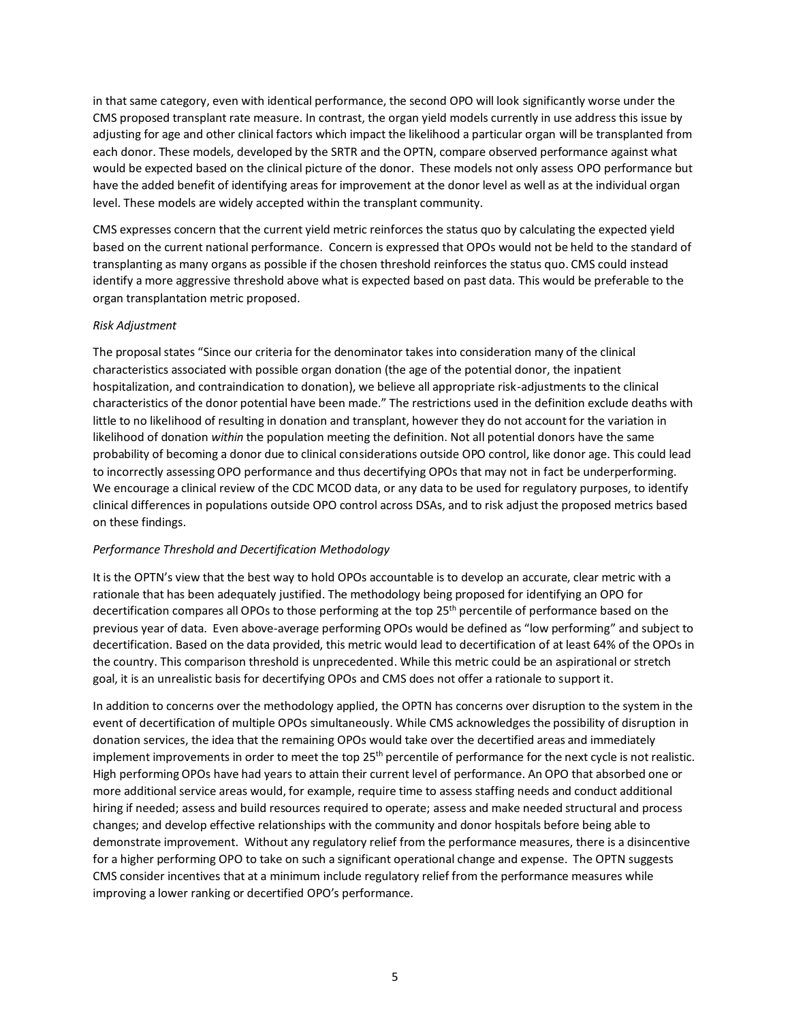in that same category, even with identical performance, the second OPO will look significantly worse under the CMS proposed transplant rate measure. In contrast, the organ yield models currently in use address this issue by adjusting for age and other clinical factors which impact the likelihood a particular organ will be transplanted from each donor. These models, developed by the SRTR and the OPTN, compare observed performance against what would be expected based on the clinical picture of the donor. These models not only assess OPO performance but have the added benefit of identifying areas for improvement at the donor level as well as at the individual organ level. These models are widely accepted within the transplant community.

 CMS expresses concern that the current yield metric reinforces the status quo by calculating the expected yield based on the current national performance. Concern is expressed that OPOs would not be held to the standard of transplanting as many organs as possible if the chosen threshold reinforces the status quo. CMS could instead identify a more aggressive threshold above what is expected based on past data. This would be preferable to the organ transplantation metric proposed.

#### *Risk Adjustment*

 The proposal states "Since our criteria for the denominator takes into consideration many of the clinical characteristics associated with possible organ donation (the age of the potential donor, the inpatient hospitalization, and contraindication to donation), we believe all appropriate risk-adjustments to the clinical characteristics of the donor potential have been made." The restrictions used in the definition exclude deaths with little to no likelihood of resulting in donation and transplant, however they do not account for the variation in likelihood of donation *within* the population meeting the definition. Not all potential donors have the same probability of becoming a donor due to clinical considerations outside OPO control, like donor age. This could lead to incorrectly assessing OPO performance and thus decertifying OPOs that may not in fact be underperforming. We encourage a clinical review of the CDC MCOD data, or any data to be used for regulatory purposes, to identify clinical differences in populations outside OPO control across DSAs, and to risk adjust the proposed metrics based on these findings.

## *Performance Threshold and Decertification Methodology*

 It is the OPTN's view that the best way to hold OPOs accountable is to develop an accurate, clear metric with a rationale that has been adequately justified. The methodology being proposed for identifying an OPO for decertification compares all OPOs to those performing at the top 25<sup>th</sup> percentile of performance based on the previous year of data. Even above-average performing OPOs would be defined as "low performing" and subject to decertification. Based on the data provided, this metric would lead to decertification of at least 64% of the OPOs in the country. This comparison threshold is unprecedented. While this metric could be an aspirational or stretch goal, it is an unrealistic basis for decertifying OPOs and CMS does not offer a rationale to support it.

 In addition to concerns over the methodology applied, the OPTN has concerns over disruption to the system in the event of decertification of multiple OPOs simultaneously. While CMS acknowledges the possibility of disruption in donation services, the idea that the remaining OPOs would take over the decertified areas and immediately implement improvements in order to meet the top 25<sup>th</sup> percentile of performance for the next cycle is not realistic. High performing OPOs have had years to attain their current level of performance. An OPO that absorbed one or more additional service areas would, for example, require time to assess staffing needs and conduct additional hiring if needed; assess and build resources required to operate; assess and make needed structural and process changes; and develop effective relationships with the community and donor hospitals before being able to demonstrate improvement. Without any regulatory relief from the performance measures, there is a disincentive for a higher performing OPO to take on such a significant operational change and expense. The OPTN suggests CMS consider incentives that at a minimum include regulatory relief from the performance measures while improving a lower ranking or decertified OPO's performance.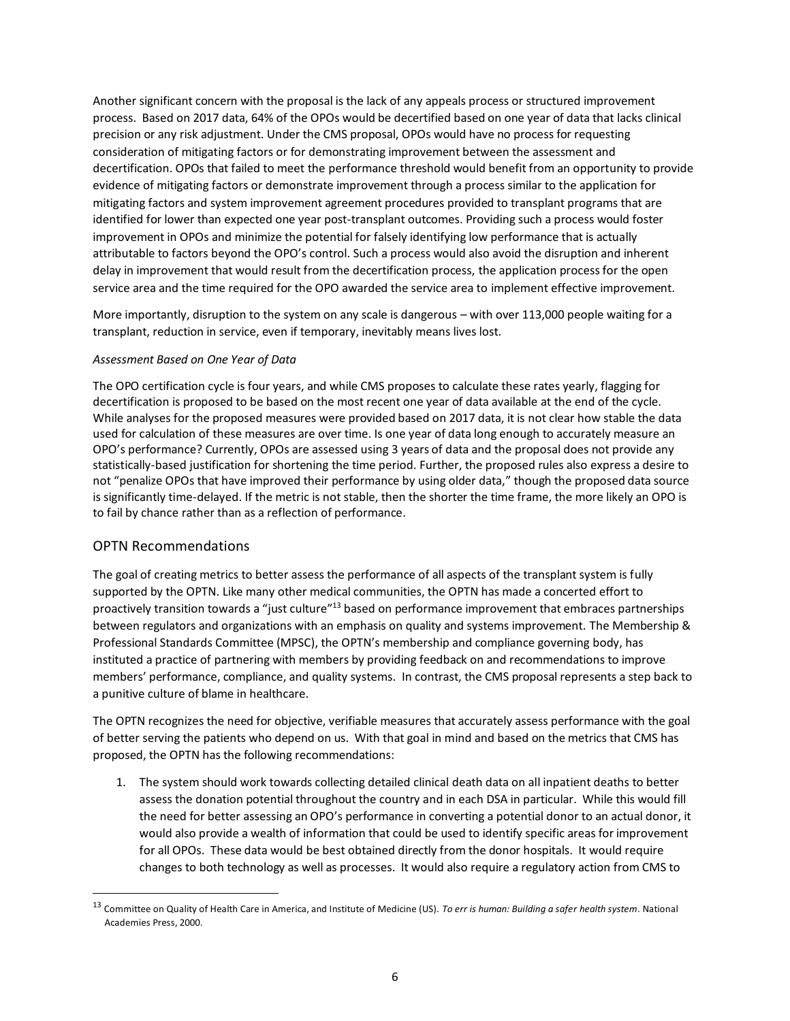Another significant concern with the proposal is the lack of any appeals process or structured improvement process. Based on 2017 data, 64% of the OPOs would be decertified based on one year of data that lacks clinical precision or any risk adjustment. Under the CMS proposal, OPOs would have no process for requesting consideration of mitigating factors or for demonstrating improvement between the assessment and decertification. OPOs that failed to meet the performance threshold would benefit from an opportunity to provide evidence of mitigating factors or demonstrate improvement through a process similar to the application for mitigating factors and system improvement agreement procedures provided to transplant programs that are identified for lower than expected one year post-transplant outcomes. Providing such a process would foster improvement in OPOs and minimize the potential for falsely identifying low performance that is actually attributable to factors beyond the OPO's control. Such a process would also avoid the disruption and inherent delay in improvement that would result from the decertification process, the application process for the open service area and the time required for the OPO awarded the service area to implement effective improvement.

 More importantly, disruption to the system on any scale is dangerous – with over 113,000 people waiting for a transplant, reduction in service, even if temporary, inevitably means lives lost.

## *Assessment Based on One Year of Data*

 The OPO certification cycle is four years, and while CMS proposes to calculate these rates yearly, flagging for decertification is proposed to be based on the most recent one year of data available at the end of the cycle. While analyses for the proposed measures were provided based on 2017 data, it is not clear how stable the data used for calculation of these measures are over time. Is one year of data long enough to accurately measure an OPO's performance? Currently, OPOs are assessed using 3 years of data and the proposal does not provide any statistically-based justification for shortening the time period. Further, the proposed rules also express a desire to not "penalize OPOs that have improved their performance by using older data," though the proposed data source is significantly time-delayed. If the metric is not stable, then the shorter the time frame, the more likely an OPO is to fail by chance rather than as a reflection of performance.

# OPTN Recommendations

 $\overline{a}$ 

 The goal of creating metrics to better assess the performance of all aspects of the transplant system is fully supported by the OPTN. Like many other medical communities, the OPTN has made a concerted effort to proactively transition towards a "just culture"<sup>13</sup> based on performance improvement that embraces partnerships between regulators and organizations with an emphasis on quality and systems improvement. The Membership & Professional Standards Committee (MPSC), the OPTN's membership and compliance governing body, has instituted a practice of partnering with members by providing feedback on and recommendations to improve members' performance, compliance, and quality systems. In contrast, the CMS proposal represents a step back to a punitive culture of blame in healthcare.

 The OPTN recognizes the need for objective, verifiable measures that accurately assess performance with the goal of better serving the patients who depend on us. With that goal in mind and based on the metrics that CMS has proposed, the OPTN has the following recommendations:

 1. The system should work towards collecting detailed clinical death data on all inpatient deaths to better assess the donation potential throughout the country and in each DSA in particular. While this would fill the need for better assessing an OPO's performance in converting a potential donor to an actual donor, it would also provide a wealth of information that could be used to identify specific areas for improvement for all OPOs. These data would be best obtained directly from the donor hospitals. It would require changes to both technology as well as processes. It would also require a regulatory action from CMS to

 13 Committee on Quality of Health Care in America, and Institute of Medicine (US). *To err is human: Building a safer health system*. National Academies Press, 2000.